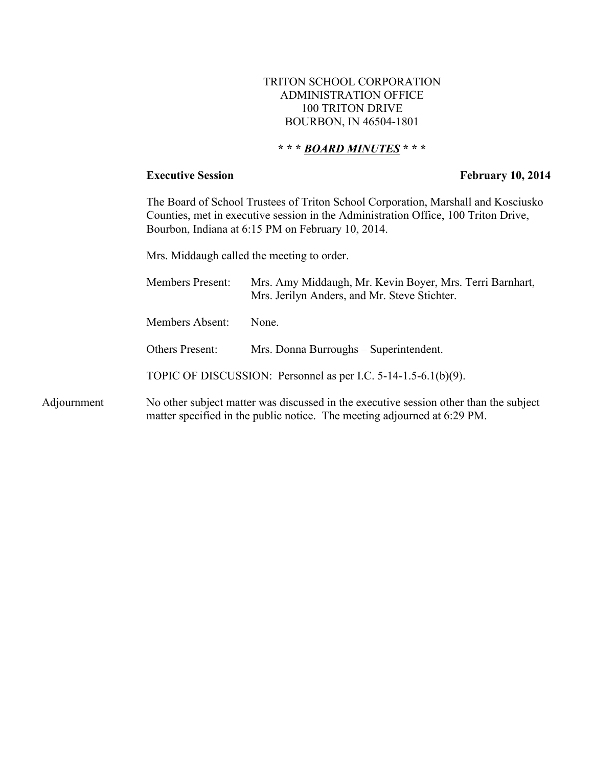### TRITON SCHOOL CORPORATION ADMINISTRATION OFFICE 100 TRITON DRIVE BOURBON, IN 46504-1801

# **\* \* \*** *BOARD MINUTES* **\* \* \***

Adjournment

### **Executive Session** February 10, 2014

The Board of School Trustees of Triton School Corporation, Marshall and Kosciusko Counties, met in executive session in the Administration Office, 100 Triton Drive, Bourbon, Indiana at 6:15 PM on February 10, 2014.

Mrs. Middaugh called the meeting to order.

| <b>Members Present:</b> | Mrs. Amy Middaugh, Mr. Kevin Boyer, Mrs. Terri Barnhart,<br>Mrs. Jerilyn Anders, and Mr. Steve Stichter.                                                          |
|-------------------------|-------------------------------------------------------------------------------------------------------------------------------------------------------------------|
| Members Absent:         | None.                                                                                                                                                             |
| Others Present:         | Mrs. Donna Burroughs – Superintendent.                                                                                                                            |
|                         | TOPIC OF DISCUSSION: Personnel as per I.C. $5-14-1.5-6.1(b)(9)$ .                                                                                                 |
|                         | No other subject matter was discussed in the executive session other than the subject<br>matter specified in the public notice. The meeting adjourned at 6:29 PM. |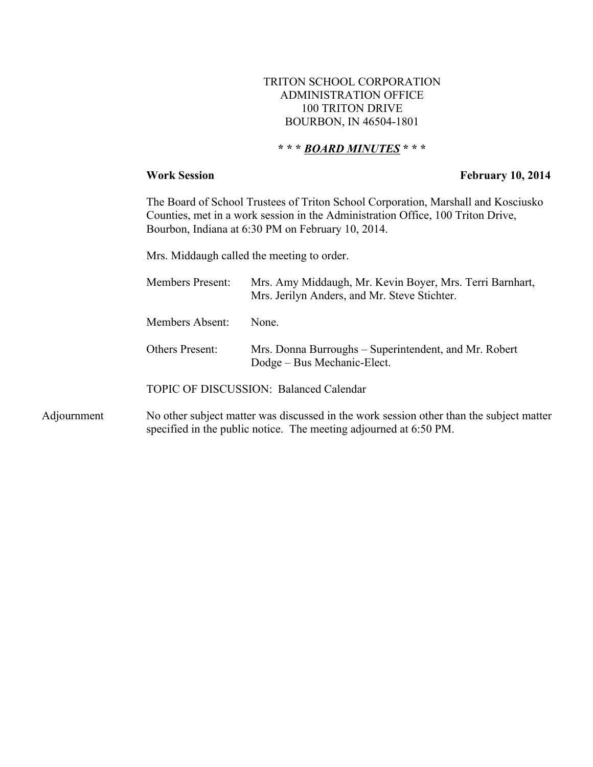### TRITON SCHOOL CORPORATION ADMINISTRATION OFFICE 100 TRITON DRIVE BOURBON, IN 46504-1801

# **\* \* \*** *BOARD MINUTES* **\* \* \***

### **Work Session February 10, 2014**

The Board of School Trustees of Triton School Corporation, Marshall and Kosciusko Counties, met in a work session in the Administration Office, 100 Triton Drive, Bourbon, Indiana at 6:30 PM on February 10, 2014.

Mrs. Middaugh called the meeting to order.

|                                        | <b>Members Present:</b> | Mrs. Amy Middaugh, Mr. Kevin Boyer, Mrs. Terri Barnhart,<br>Mrs. Jerilyn Anders, and Mr. Steve Stichter. |
|----------------------------------------|-------------------------|----------------------------------------------------------------------------------------------------------|
|                                        | Members Absent:         | None                                                                                                     |
|                                        | Others Present:         | Mrs. Donna Burroughs – Superintendent, and Mr. Robert<br>Dodge – Bus Mechanic-Elect.                     |
| TOPIC OF DISCUSSION: Balanced Calendar |                         |                                                                                                          |

Adjournment No other subject matter was discussed in the work session other than the subject matter specified in the public notice. The meeting adjourned at 6:50 PM.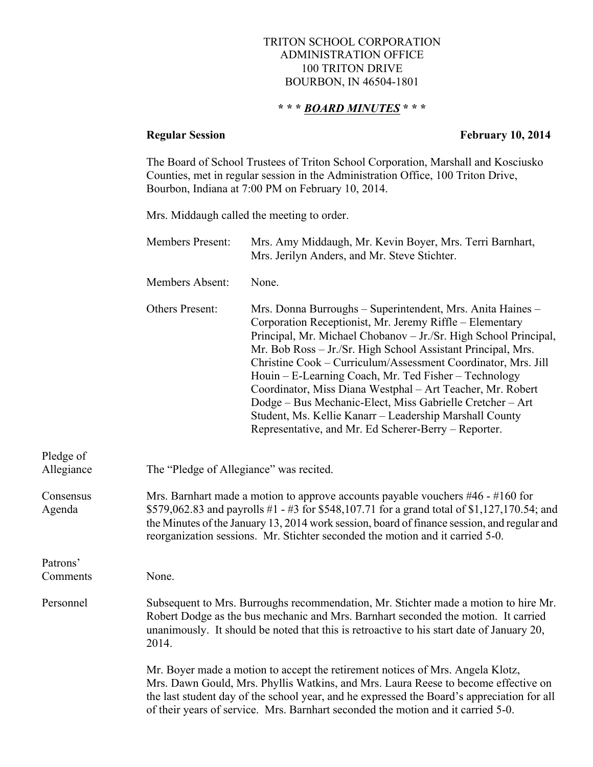### TRITON SCHOOL CORPORATION ADMINISTRATION OFFICE 100 TRITON DRIVE BOURBON, IN 46504-1801

## **\* \* \*** *BOARD MINUTES* **\* \* \***

# **Regular Session February 10, 2014**

The Board of School Trustees of Triton School Corporation, Marshall and Kosciusko Counties, met in regular session in the Administration Office, 100 Triton Drive, Bourbon, Indiana at 7:00 PM on February 10, 2014.

Mrs. Middaugh called the meeting to order.

|                         | Members Present: | Mrs. Amy Middaugh, Mr. Kevin Boyer, Mrs. Terri Barnhart,<br>Mrs. Jerilyn Anders, and Mr. Steve Stichter.                                                                                                                                                                                                                                                                                                                                                                                                                                                                                                                           |  |
|-------------------------|------------------|------------------------------------------------------------------------------------------------------------------------------------------------------------------------------------------------------------------------------------------------------------------------------------------------------------------------------------------------------------------------------------------------------------------------------------------------------------------------------------------------------------------------------------------------------------------------------------------------------------------------------------|--|
|                         | Members Absent:  | None.                                                                                                                                                                                                                                                                                                                                                                                                                                                                                                                                                                                                                              |  |
|                         | Others Present:  | Mrs. Donna Burroughs - Superintendent, Mrs. Anita Haines -<br>Corporation Receptionist, Mr. Jeremy Riffle – Elementary<br>Principal, Mr. Michael Chobanov - Jr./Sr. High School Principal,<br>Mr. Bob Ross - Jr./Sr. High School Assistant Principal, Mrs.<br>Christine Cook - Curriculum/Assessment Coordinator, Mrs. Jill<br>Houin - E-Learning Coach, Mr. Ted Fisher - Technology<br>Coordinator, Miss Diana Westphal – Art Teacher, Mr. Robert<br>Dodge - Bus Mechanic-Elect, Miss Gabrielle Cretcher - Art<br>Student, Ms. Kellie Kanarr - Leadership Marshall County<br>Representative, and Mr. Ed Scherer-Berry – Reporter. |  |
| Pledge of<br>Allegiance |                  | The "Pledge of Allegiance" was recited.                                                                                                                                                                                                                                                                                                                                                                                                                                                                                                                                                                                            |  |
| Consensus<br>Agenda     |                  | Mrs. Barnhart made a motion to approve accounts payable vouchers $#46 - #160$ for<br>\$579,062.83 and payrolls #1 - #3 for \$548,107.71 for a grand total of \$1,127,170.54; and<br>the Minutes of the January 13, 2014 work session, board of finance session, and regular and<br>reorganization sessions. Mr. Stichter seconded the motion and it carried 5-0.                                                                                                                                                                                                                                                                   |  |
| Patrons'                |                  |                                                                                                                                                                                                                                                                                                                                                                                                                                                                                                                                                                                                                                    |  |
| Comments                | None.            |                                                                                                                                                                                                                                                                                                                                                                                                                                                                                                                                                                                                                                    |  |
| Personnel               | 2014.            | Subsequent to Mrs. Burroughs recommendation, Mr. Stichter made a motion to hire Mr.<br>Robert Dodge as the bus mechanic and Mrs. Barnhart seconded the motion. It carried<br>unanimously. It should be noted that this is retroactive to his start date of January 20,                                                                                                                                                                                                                                                                                                                                                             |  |
|                         |                  | Mr. Boyer made a motion to accept the retirement notices of Mrs. Angela Klotz,<br>Mrs. Dawn Gould, Mrs. Phyllis Watkins, and Mrs. Laura Reese to become effective on<br>the last student day of the school year, and he expressed the Board's appreciation for all<br>of their years of service. Mrs. Barnhart seconded the motion and it carried 5-0.                                                                                                                                                                                                                                                                             |  |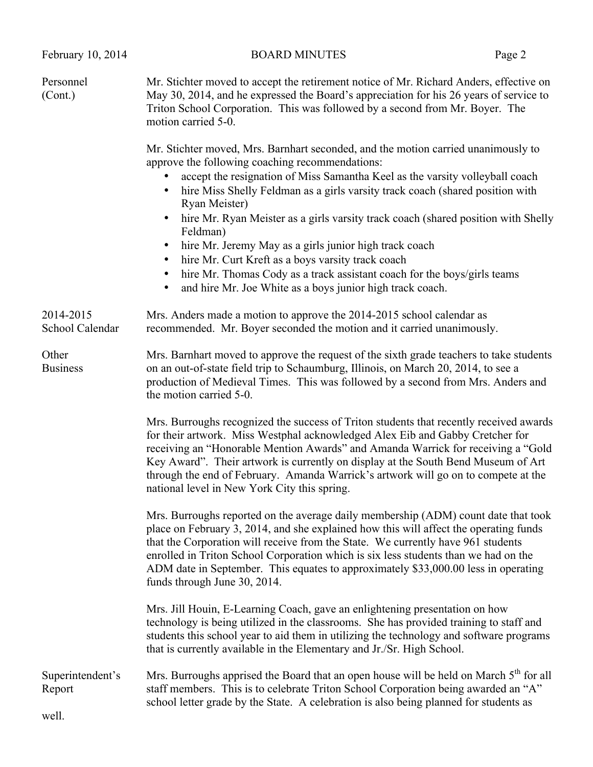| February 10, 2014                   | <b>BOARD MINUTES</b>                                                                                                                                                                                                                                                                                                                                                                                                                                                                                                                                                                                                                                                                                                                                  | Page 2 |
|-------------------------------------|-------------------------------------------------------------------------------------------------------------------------------------------------------------------------------------------------------------------------------------------------------------------------------------------------------------------------------------------------------------------------------------------------------------------------------------------------------------------------------------------------------------------------------------------------------------------------------------------------------------------------------------------------------------------------------------------------------------------------------------------------------|--------|
| Personnel<br>(Cont.)                | Mr. Stichter moved to accept the retirement notice of Mr. Richard Anders, effective on<br>May 30, 2014, and he expressed the Board's appreciation for his 26 years of service to<br>Triton School Corporation. This was followed by a second from Mr. Boyer. The<br>motion carried 5-0.                                                                                                                                                                                                                                                                                                                                                                                                                                                               |        |
|                                     | Mr. Stichter moved, Mrs. Barnhart seconded, and the motion carried unanimously to<br>approve the following coaching recommendations:<br>accept the resignation of Miss Samantha Keel as the varsity volleyball coach<br>٠<br>hire Miss Shelly Feldman as a girls varsity track coach (shared position with<br>Ryan Meister)<br>hire Mr. Ryan Meister as a girls varsity track coach (shared position with Shelly<br>$\bullet$<br>Feldman)<br>hire Mr. Jeremy May as a girls junior high track coach<br>$\bullet$<br>hire Mr. Curt Kreft as a boys varsity track coach<br>$\bullet$<br>hire Mr. Thomas Cody as a track assistant coach for the boys/girls teams<br>$\bullet$<br>and hire Mr. Joe White as a boys junior high track coach.<br>$\bullet$ |        |
| 2014-2015<br>School Calendar        | Mrs. Anders made a motion to approve the 2014-2015 school calendar as<br>recommended. Mr. Boyer seconded the motion and it carried unanimously.                                                                                                                                                                                                                                                                                                                                                                                                                                                                                                                                                                                                       |        |
| Other<br><b>Business</b>            | Mrs. Barnhart moved to approve the request of the sixth grade teachers to take students<br>on an out-of-state field trip to Schaumburg, Illinois, on March 20, 2014, to see a<br>production of Medieval Times. This was followed by a second from Mrs. Anders and<br>the motion carried 5-0.                                                                                                                                                                                                                                                                                                                                                                                                                                                          |        |
|                                     | Mrs. Burroughs recognized the success of Triton students that recently received awards<br>for their artwork. Miss Westphal acknowledged Alex Eib and Gabby Cretcher for<br>receiving an "Honorable Mention Awards" and Amanda Warrick for receiving a "Gold<br>Key Award". Their artwork is currently on display at the South Bend Museum of Art<br>through the end of February. Amanda Warrick's artwork will go on to compete at the<br>national level in New York City this spring.                                                                                                                                                                                                                                                                |        |
|                                     | Mrs. Burroughs reported on the average daily membership (ADM) count date that took<br>place on February 3, 2014, and she explained how this will affect the operating funds<br>that the Corporation will receive from the State. We currently have 961 students<br>enrolled in Triton School Corporation which is six less students than we had on the<br>ADM date in September. This equates to approximately \$33,000.00 less in operating<br>funds through June 30, 2014.                                                                                                                                                                                                                                                                          |        |
|                                     | Mrs. Jill Houin, E-Learning Coach, gave an enlightening presentation on how<br>technology is being utilized in the classrooms. She has provided training to staff and<br>students this school year to aid them in utilizing the technology and software programs<br>that is currently available in the Elementary and Jr./Sr. High School.                                                                                                                                                                                                                                                                                                                                                                                                            |        |
| Superintendent's<br>Report<br>well. | Mrs. Burroughs apprised the Board that an open house will be held on March 5 <sup>th</sup> for all<br>staff members. This is to celebrate Triton School Corporation being awarded an "A"<br>school letter grade by the State. A celebration is also being planned for students as                                                                                                                                                                                                                                                                                                                                                                                                                                                                     |        |